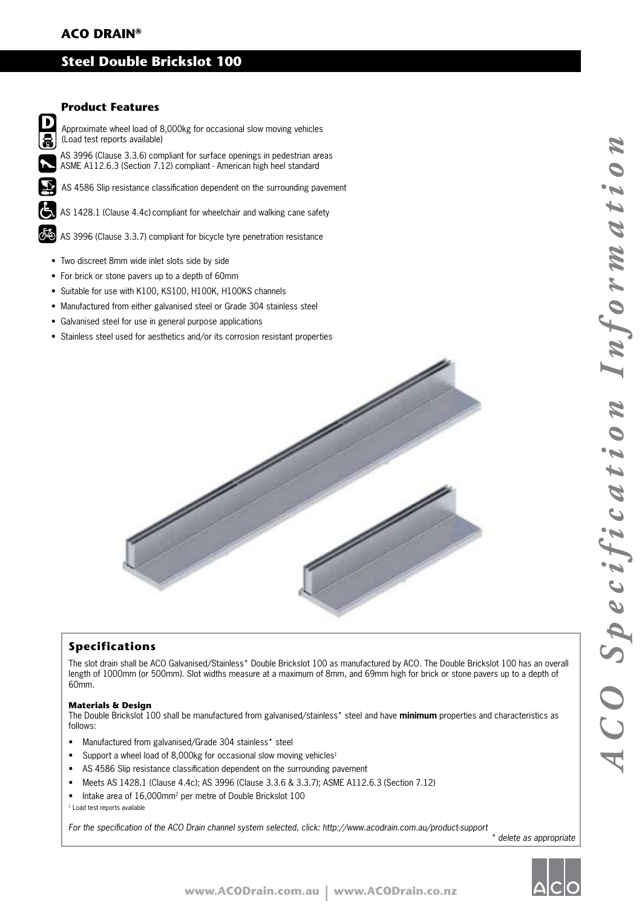# **ACO DRAIN®**

## **Steel Double Brickslot 100**

### **Product Features**

 $\mathbf{D}$ S.

Approximate wheel load of 8,000kg for occasional slow moving vehicles (Load test reports available)

 AS 3996 (Clause 3.3.6) compliant for surface openings in pedestrian areas ASME A112.6.3 (Section 7.12) compliant - American high heel standard

 AS 4586 Slip resistance classification dependent on the surrounding pavement

AS 1428.1 (Clause 4.4c) compliant for wheelchair and walking cane safety

AS 3996 (Clause 3.3.7) compliant for bicycle tyre penetration resistance

- Two discreet 8mm wide inlet slots side by side
- For brick or stone pavers up to a depth of 60mm
- Suitable for use with K100, KS100, H100K, H100KS channels
- Manufactured from either galvanised steel or Grade 304 stainless steel
- Galvanised steel for use in general purpose applications
- Stainless steel used for aesthetics and/or its corrosion resistant properties



### **Specifications**

The slot drain shall be ACO Galvanised/Stainless\* Double Brickslot 100 as manufactured by ACO. The Double Brickslot 100 has an overall length of 1000mm (or 500mm). Slot widths measure at a maximum of 8mm, and 69mm high for brick or stone pavers up to a depth of 60mm.

#### **Materials & Design**

The Double Brickslot 100 shall be manufactured from galvanised/stainless\* steel and have **minimum** properties and characteristics as follows:

- Manufactured from galvanised/Grade 304 stainless\* steel
- Support a wheel load of 8,000kg for occasional slow moving vehicles<sup>1</sup>
- AS 4586 Slip resistance classification dependent on the surrounding pavement
- Meets AS 1428.1 (Clause 4.4c); AS 3996 (Clause 3.3.6 & 3.3.7); ASME A112.6.3 (Section 7.12)
- Intake area of 16,000mm2 per metre of Double Brickslot 100
- <sup>1</sup> Load test reports available

For the specification of the ACO Drain channel system selected, click: http://www.acodrain.com.au/product-support

\* delete as appropriate